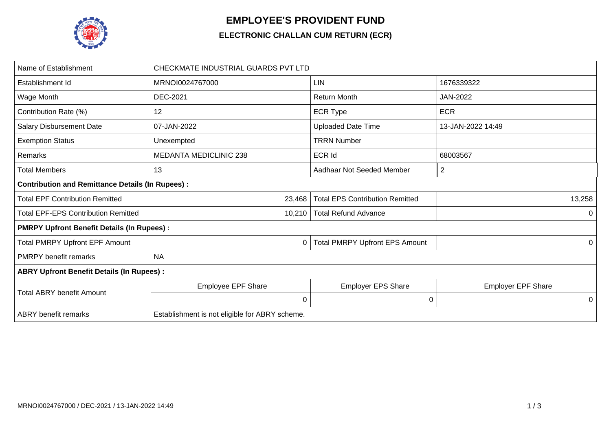

## **EMPLOYEE'S PROVIDENT FUND**

## **ELECTRONIC CHALLAN CUM RETURN (ECR)**

| Name of Establishment                                   | CHECKMATE INDUSTRIAL GUARDS PVT LTD            |                                        |                           |  |  |  |  |
|---------------------------------------------------------|------------------------------------------------|----------------------------------------|---------------------------|--|--|--|--|
| Establishment Id                                        | MRNOI0024767000                                | LIN                                    | 1676339322                |  |  |  |  |
| Wage Month                                              | DEC-2021                                       | <b>Return Month</b>                    | JAN-2022                  |  |  |  |  |
| Contribution Rate (%)                                   | 12                                             | <b>ECR Type</b>                        | <b>ECR</b>                |  |  |  |  |
| <b>Salary Disbursement Date</b>                         | 07-JAN-2022                                    | <b>Uploaded Date Time</b>              | 13-JAN-2022 14:49         |  |  |  |  |
| <b>Exemption Status</b>                                 | Unexempted                                     | <b>TRRN Number</b>                     |                           |  |  |  |  |
| Remarks                                                 | <b>MEDANTA MEDICLINIC 238</b>                  | <b>ECR Id</b>                          | 68003567                  |  |  |  |  |
| <b>Total Members</b>                                    | 13                                             | Aadhaar Not Seeded Member              | $\overline{2}$            |  |  |  |  |
| <b>Contribution and Remittance Details (In Rupees):</b> |                                                |                                        |                           |  |  |  |  |
| <b>Total EPF Contribution Remitted</b>                  | 23,468                                         | <b>Total EPS Contribution Remitted</b> | 13,258                    |  |  |  |  |
| <b>Total EPF-EPS Contribution Remitted</b>              | 10,210                                         | <b>Total Refund Advance</b>            | 0                         |  |  |  |  |
| <b>PMRPY Upfront Benefit Details (In Rupees):</b>       |                                                |                                        |                           |  |  |  |  |
| <b>Total PMRPY Upfront EPF Amount</b>                   | 0                                              | <b>Total PMRPY Upfront EPS Amount</b>  | 0                         |  |  |  |  |
| <b>PMRPY</b> benefit remarks                            | <b>NA</b>                                      |                                        |                           |  |  |  |  |
| <b>ABRY Upfront Benefit Details (In Rupees):</b>        |                                                |                                        |                           |  |  |  |  |
| <b>Total ABRY benefit Amount</b>                        | <b>Employee EPF Share</b>                      | <b>Employer EPS Share</b>              | <b>Employer EPF Share</b> |  |  |  |  |
|                                                         | $\mathbf 0$                                    | 0                                      | 0                         |  |  |  |  |
| <b>ABRY</b> benefit remarks                             | Establishment is not eligible for ABRY scheme. |                                        |                           |  |  |  |  |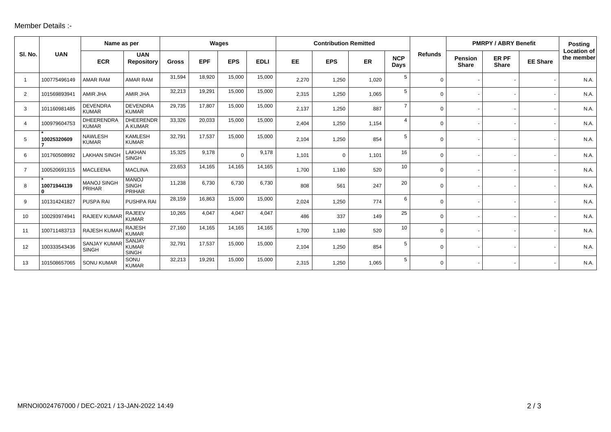## Member Details :-

|                |                             | Name as per                         |                                               | Wages        |            |            | <b>Contribution Remitted</b> |           |             |           |                    | <b>PMRPY / ABRY Benefit</b> |                                |                       | <b>Posting</b>  |                                  |
|----------------|-----------------------------|-------------------------------------|-----------------------------------------------|--------------|------------|------------|------------------------------|-----------|-------------|-----------|--------------------|-----------------------------|--------------------------------|-----------------------|-----------------|----------------------------------|
| SI. No.        | <b>UAN</b>                  | <b>ECR</b>                          | <b>UAN</b><br><b>Repository</b>               | <b>Gross</b> | <b>EPF</b> | <b>EPS</b> | <b>EDLI</b>                  | <b>EE</b> | <b>EPS</b>  | <b>ER</b> | <b>NCP</b><br>Days | <b>Refunds</b>              | <b>Pension</b><br><b>Share</b> | ER PF<br><b>Share</b> | <b>EE Share</b> | <b>Location of</b><br>the member |
| -1             | 100775496149                | <b>AMAR RAM</b>                     | <b>AMAR RAM</b>                               | 31,594       | 18,920     | 15,000     | 15,000                       | 2,270     | 1,250       | 1,020     | 5                  | $\Omega$                    |                                |                       |                 | N.A.                             |
| 2              | 101569893941                | AMIR JHA                            | AMIR JHA                                      | 32,213       | 19,291     | 15,000     | 15,000                       | 2,315     | 1,250       | 1,065     | 5                  | 0                           |                                |                       |                 | N.A.                             |
| 3              | 101160981485                | <b>DEVENDRA</b><br><b>KUMAR</b>     | <b>DEVENDRA</b><br><b>KUMAR</b>               | 29,735       | 17,807     | 15,000     | 15,000                       | 2,137     | 1,250       | 887       | $\overline{7}$     | 0                           |                                |                       |                 | N.A.                             |
| $\overline{4}$ | 100979604753                | <b>DHEERENDRA</b><br><b>KUMAR</b>   | <b>DHEERENDR</b><br>A KUMAR                   | 33,326       | 20,033     | 15,000     | 15,000                       | 2,404     | 1,250       | 1,154     | $\overline{4}$     | $\mathbf 0$                 |                                |                       |                 | N.A.                             |
| 5              | 10025320609                 | <b>NAWLESH</b><br><b>KUMAR</b>      | <b>KAMLESH</b><br><b>KUMAR</b>                | 32,791       | 17,537     | 15,000     | 15,000                       | 2,104     | 1,250       | 854       | 5                  | $\Omega$                    |                                |                       |                 | N.A.                             |
| 6              | 101760508992                | <b>LAKHAN SINGH</b>                 | LAKHAN<br><b>SINGH</b>                        | 15,325       | 9,178      | $\Omega$   | 9,178                        | 1,101     | $\mathbf 0$ | 1,101     | 16                 | $\Omega$                    |                                |                       |                 | N.A.                             |
| $\overline{7}$ | 100520691315                | <b>MACLEENA</b>                     | <b>MACLINA</b>                                | 23,653       | 14,165     | 14,165     | 14,165                       | 1,700     | 1,180       | 520       | 10                 | $\Omega$                    |                                |                       |                 | N.A.                             |
| 8              | 10071944139<br>$\mathbf{0}$ | MANOJ SINGH<br><b>PRIHAR</b>        | <b>MANOJ</b><br><b>SINGH</b><br>PRIHAR        | 11,238       | 6,730      | 6,730      | 6,730                        | 808       | 561         | 247       | 20                 | 0                           |                                |                       |                 | N.A.                             |
| 9              | 101314241827                | PUSPA RAI                           | PUSHPA RAI                                    | 28,159       | 16,863     | 15,000     | 15,000                       | 2.024     | 1,250       | 774       | 6                  | 0                           |                                |                       |                 | N.A.                             |
| 10             | 100293974941                | RAJEEV KUMAR                        | <b>RAJEEV</b><br><b>KUMAR</b>                 | 10,265       | 4,047      | 4,047      | 4,047                        | 486       | 337         | 149       | 25                 | 0                           |                                |                       |                 | N.A.                             |
| 11             | 100711483713                | <b>RAJESH KUMAR</b>                 | <b>RAJESH</b><br><b>KUMAR</b>                 | 27.160       | 14,165     | 14,165     | 14,165                       | 1,700     | 1,180       | 520       | 10                 | 0                           |                                |                       |                 | N.A.                             |
| 12             | 100333543436                | <b>SANJAY KUMAR</b><br><b>SINGH</b> | <b>SANJAY</b><br><b>KUMAR</b><br><b>SINGH</b> | 32,791       | 17,537     | 15,000     | 15,000                       | 2,104     | 1,250       | 854       | 5                  | 0                           |                                |                       |                 | N.A.                             |
| 13             | 101508657065                | <b>SONU KUMAR</b>                   | SONU<br><b>KUMAR</b>                          | 32,213       | 19,291     | 15,000     | 15,000                       | 2,315     | 1,250       | 1,065     | 5                  | U                           |                                |                       |                 | N.A.                             |